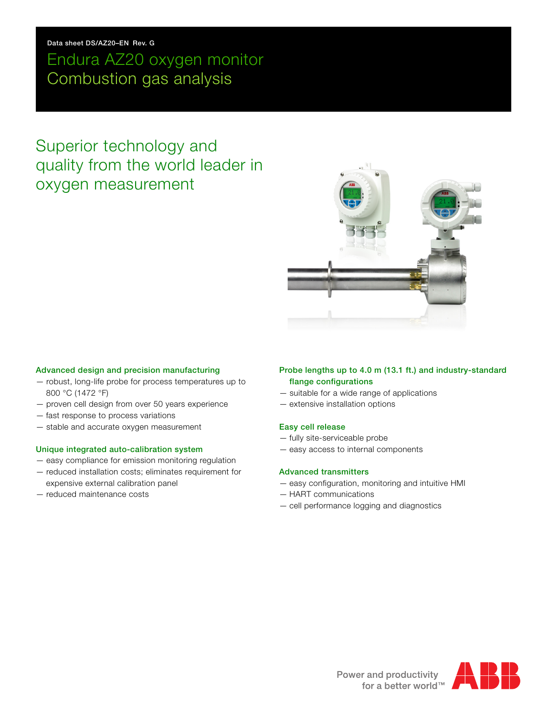### **Data sheet DS/AZ20–EN Rev. G**

# Endura AZ20 oxygen monitor Combustion gas analysis

# Superior technology and quality from the world leader in oxygen measurement



#### **Advanced design and precision manufacturing**

- robust, long-life probe for process temperatures up to 800 °C (1472 °F)
- proven cell design from over 50 years experience
- fast response to process variations
- stable and accurate oxygen measurement

### **Unique integrated auto-calibration system**

- easy compliance for emission monitoring regulation
- reduced installation costs; eliminates requirement for expensive external calibration panel
- reduced maintenance costs

### **Probe lengths up to 4.0 m (13.1 ft.) and industry-standard flange configurations**

- suitable for a wide range of applications
- extensive installation options

### **Easy cell release**

- fully site-serviceable probe
- easy access to internal components

### **Advanced transmitters**

- easy configuration, monitoring and intuitive HMI
- HART communications
- cell performance logging and diagnostics

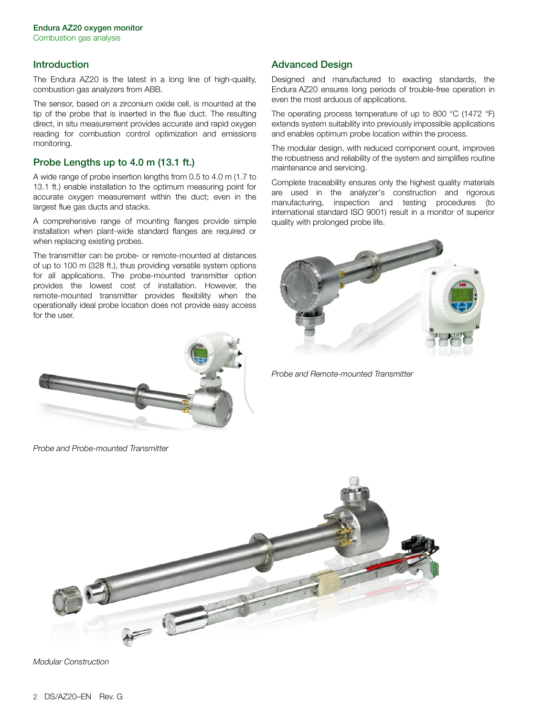### **Introduction**

The Endura AZ20 is the latest in a long line of high-quality, combustion gas analyzers from ABB.

The sensor, based on a zirconium oxide cell, is mounted at the tip of the probe that is inserted in the flue duct. The resulting direct, in situ measurement provides accurate and rapid oxygen reading for combustion control optimization and emissions monitoring.

# **Probe Lengths up to 4.0 m (13.1 ft.)**

A wide range of probe insertion lengths from 0.5 to 4.0 m (1.7 to 13.1 ft.) enable installation to the optimum measuring point for accurate oxygen measurement within the duct; even in the largest flue gas ducts and stacks.

A comprehensive range of mounting flanges provide simple installation when plant-wide standard flanges are required or when replacing existing probes.

The transmitter can be probe- or remote-mounted at distances of up to 100 m (328 ft.), thus providing versatile system options for all applications. The probe-mounted transmitter option provides the lowest cost of installation. However, the remote-mounted transmitter provides flexibility when the operationally ideal probe location does not provide easy access for the user.



*Probe and Probe-mounted Transmitter*

# **Advanced Design**

Designed and manufactured to exacting standards, the Endura AZ20 ensures long periods of trouble-free operation in even the most arduous of applications.

The operating process temperature of up to 800 °C (1472 °F) extends system suitability into previously impossible applications and enables optimum probe location within the process.

The modular design, with reduced component count, improves the robustness and reliability of the system and simplifies routine maintenance and servicing.

Complete traceability ensures only the highest quality materials are used in the analyzer's construction and rigorous manufacturing, inspection and testing procedures (to international standard ISO 9001) result in a monitor of superior quality with prolonged probe life.



*Probe and Remote-mounted Transmitter*



*Modular Construction*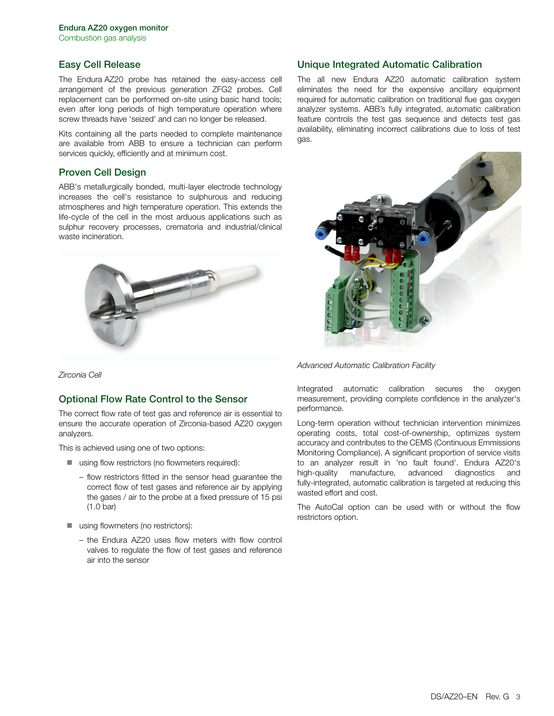### **Easy Cell Release**

The Endura AZ20 probe has retained the easy-access cell arrangement of the previous generation ZFG2 probes. Cell replacement can be performed on-site using basic hand tools; even after long periods of high temperature operation where screw threads have 'seized' and can no longer be released.

Kits containing all the parts needed to complete maintenance are available from ABB to ensure a technician can perform services quickly, efficiently and at minimum cost.

### **Proven Cell Design**

ABB's metallurgically bonded, multi-layer electrode technology increases the cell's resistance to sulphurous and reducing atmospheres and high temperature operation. This extends the life-cycle of the cell in the most arduous applications such as sulphur recovery processes, crematoria and industrial/clinical waste incineration.



*Zirconia Cell*

### **Optional Flow Rate Control to the Sensor**

The correct flow rate of test gas and reference air is essential to ensure the accurate operation of Zirconia-based AZ20 oxygen analyzers.

This is achieved using one of two options:

- using flow restrictors (no flowmeters required):
	- flow restrictors fitted in the sensor head guarantee the correct flow of test gases and reference air by applying the gases / air to the probe at a fixed pressure of 15 psi (1.0 bar)
- using flowmeters (no restrictors):
	- the Endura AZ20 uses flow meters with flow control valves to regulate the flow of test gases and reference air into the sensor

### **Unique Integrated Automatic Calibration**

The all new Endura AZ20 automatic calibration system eliminates the need for the expensive ancillary equipment required for automatic calibration on traditional flue gas oxygen analyzer systems. ABB's fully integrated, automatic calibration feature controls the test gas sequence and detects test gas availability, eliminating incorrect calibrations due to loss of test gas.



*Advanced Automatic Calibration Facility*

Integrated automatic calibration secures the oxygen measurement, providing complete confidence in the analyzer's performance.

Long-term operation without technician intervention minimizes operating costs, total cost-of-ownership, optimizes system accuracy and contributes to the CEMS (Continuous Emmissions Monitoring Compliance). A significant proportion of service visits to an analyzer result in 'no fault found'. Endura AZ20's high-quality manufacture, advanced diagnostics and fully-integrated, automatic calibration is targeted at reducing this wasted effort and cost.

The AutoCal option can be used with or without the flow restrictors option.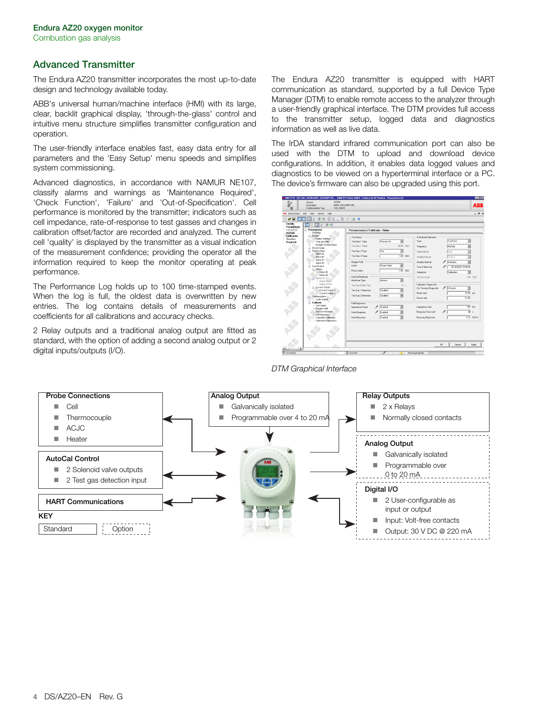# **Advanced Transmitter**

The Endura AZ20 transmitter incorporates the most up-to-date design and technology available today.

ABB's universal human/machine interface (HMI) with its large, clear, backlit graphical display, 'through-the-glass' control and intuitive menu structure simplifies transmitter configuration and operation.

The user-friendly interface enables fast, easy data entry for all parameters and the 'Easy Setup' menu speeds and simplifies system commissioning.

Advanced diagnostics, in accordance with NAMUR NE107, classify alarms and warnings as 'Maintenance Required', 'Check Function', 'Failure' and 'Out-of-Specification'. Cell performance is monitored by the transmitter; indicators such as cell impedance, rate-of-response to test gasses and changes in calibration offset/factor are recorded and analyzed. The current cell 'quality' is displayed by the transmitter as a visual indication of the measurement confidence; providing the operator all the information required to keep the monitor operating at peak performance.

The Performance Log holds up to 100 time-stamped events. When the log is full, the oldest data is overwritten by new entries. The log contains details of measurements and coefficients for all calibrations and accuracy checks.

2 Relay outputs and a traditional analog output are fitted as standard, with the option of adding a second analog output or 2 digital inputs/outputs (I/O).

The Endura AZ20 transmitter is equipped with HART communication as standard, supported by a full Device Type Manager (DTM) to enable remote access to the analyzer through a user-friendly graphical interface. The DTM provides full access to the transmitter setup, logged data and diagnostics information as well as live data.

The IrDA standard infrared communication port can also be used with the DTM to upload and download device configurations. In addition, it enables data logged values and diagnostics to be viewed on a hyperterminal interface or a PC. The device's firmware can also be upgraded using this port.





### *DTM Graphical Interface*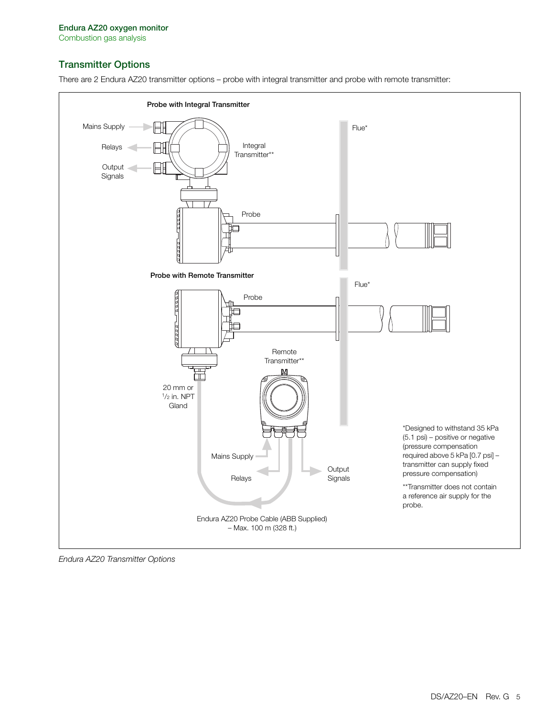# **Transmitter Options**





*Endura AZ20 Transmitter Options*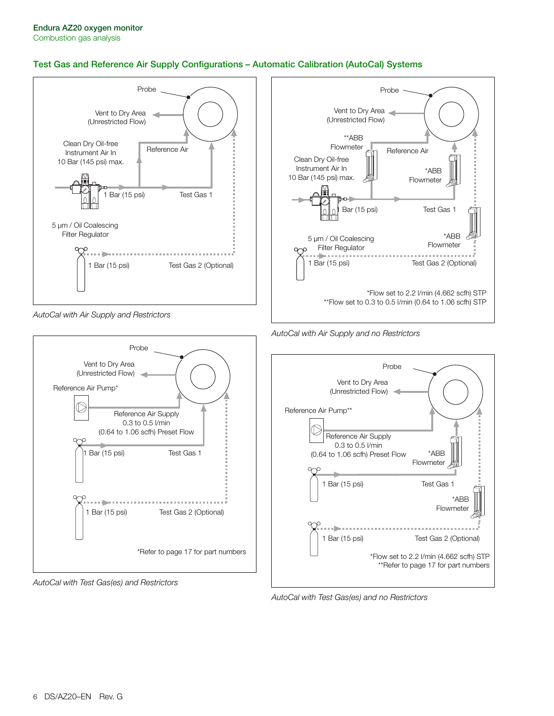# **Test Gas and Reference Air Supply Configurations – Automatic Calibration (AutoCal) Systems**



*AutoCal with Air Supply and Restrictors*



*AutoCal with Test Gas(es) and Restrictors*



*AutoCal with Air Supply and no Restrictors*



*AutoCal with Test Gas(es) and no Restrictors*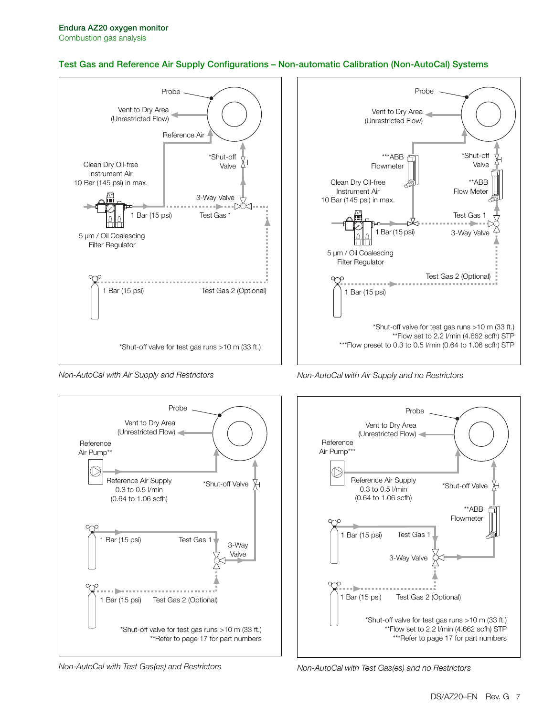## **Test Gas and Reference Air Supply Configurations – Non-automatic Calibration (Non-AutoCal) Systems**



*Non-AutoCal with Air Supply and Restrictors*



*Non-AutoCal with Test Gas(es) and Restrictors*



*Non-AutoCal with Air Supply and no Restrictors*



*Non-AutoCal with Test Gas(es) and no Restrictors*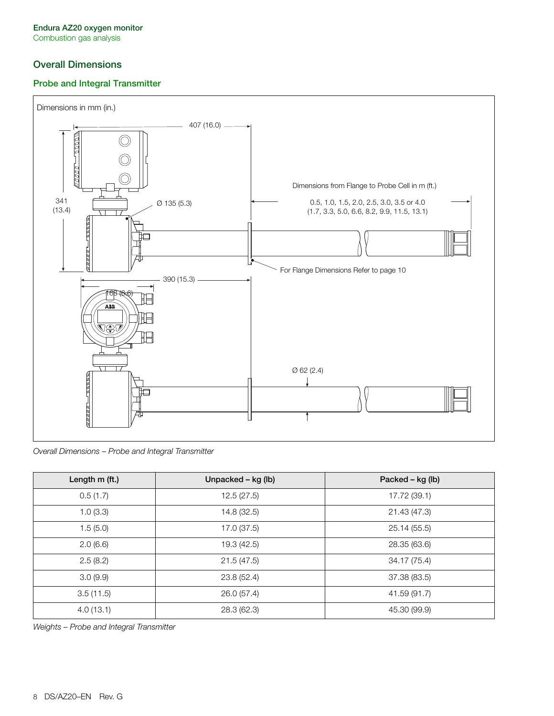# **Overall Dimensions**

## **Probe and Integral Transmitter**



*Overall Dimensions – Probe and Integral Transmitter*

| Length m (ft.) | Unpacked - kg (lb) | Packed – kg (lb) |
|----------------|--------------------|------------------|
| 0.5(1.7)       | 12.5(27.5)         | 17.72 (39.1)     |
| 1.0(3.3)       | 14.8 (32.5)        | 21.43 (47.3)     |
| 1.5(5.0)       | 17.0 (37.5)        | 25.14 (55.5)     |
| 2.0(6.6)       | 19.3 (42.5)        | 28.35 (63.6)     |
| 2.5(8.2)       | 21.5(47.5)         | 34.17 (75.4)     |
| 3.0(9.9)       | 23.8 (52.4)        | 37.38 (83.5)     |
| 3.5(11.5)      | 26.0 (57.4)        | 41.59 (91.7)     |
| 4.0(13.1)      | 28.3 (62.3)        | 45.30 (99.9)     |

*Weights – Probe and Integral Transmitter*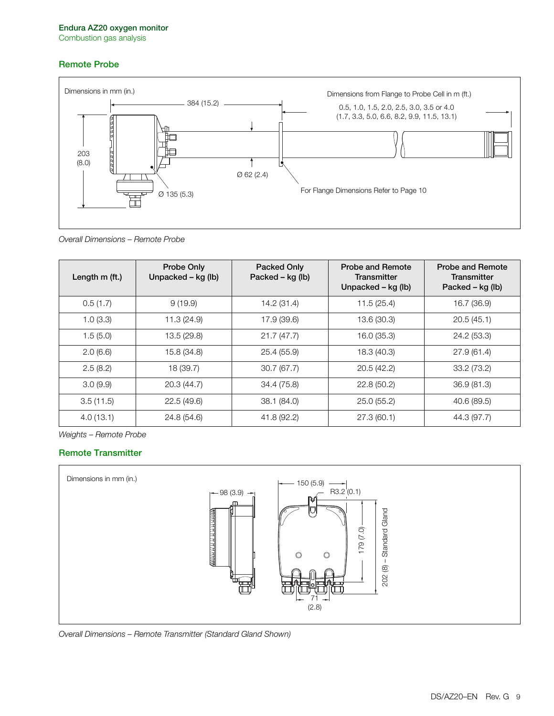# **Remote Probe**



*Overall Dimensions – Remote Probe*

| Length $m$ (ft.) | <b>Probe Only</b><br>Unpacked – kg (lb) | Packed Only<br>Packed – kg (lb) | <b>Probe and Remote</b><br>Transmitter<br>Unpacked – kg (lb) | Probe and Remote<br>Transmitter<br>Packed – kg (lb) |
|------------------|-----------------------------------------|---------------------------------|--------------------------------------------------------------|-----------------------------------------------------|
| 0.5(1.7)         | 9(19.9)                                 | 14.2 (31.4)                     | 11.5(25.4)                                                   | 16.7 (36.9)                                         |
| 1.0(3.3)         | 11.3(24.9)                              | 17.9 (39.6)                     | 13.6 (30.3)                                                  | 20.5(45.1)                                          |
| 1.5(5.0)         | 13.5 (29.8)                             | 21.7(47.7)                      | 16.0 (35.3)                                                  | 24.2 (53.3)                                         |
| 2.0(6.6)         | 15.8 (34.8)                             | 25.4 (55.9)                     | 18.3 (40.3)                                                  | 27.9(61.4)                                          |
| 2.5(8.2)         | 18 (39.7)                               | 30.7(67.7)                      | 20.5(42.2)                                                   | 33.2 (73.2)                                         |
| 3.0(9.9)         | 20.3 (44.7)                             | 34.4 (75.8)                     | 22.8(50.2)                                                   | 36.9(81.3)                                          |
| 3.5(11.5)        | 22.5(49.6)                              | 38.1 (84.0)                     | 25.0(55.2)                                                   | 40.6 (89.5)                                         |
| 4.0(13.1)        | 24.8 (54.6)                             | 41.8 (92.2)                     | 27.3(60.1)                                                   | 44.3 (97.7)                                         |

*Weights – Remote Probe*

# **Remote Transmitter**



*Overall Dimensions – Remote Transmitter (Standard Gland Shown)*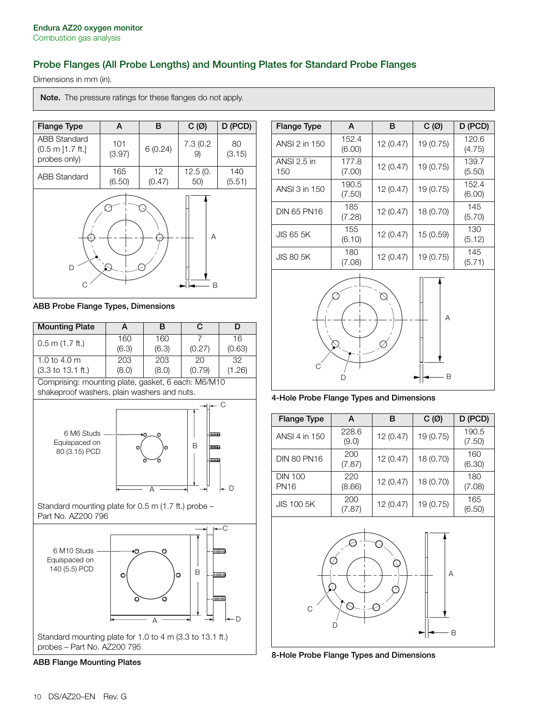# <span id="page-9-0"></span>**Probe Flanges (All Probe Lengths) and Mounting Plates for Standard Probe Flanges**

Dimensions in mm (in).

**Note.** The pressure ratings for these flanges do not apply.



**ABB Probe Flange Types, Dimensions**



**ABB Flange Mounting Plates**

| <b>Flange Type</b> | A               | в         | $C(\emptyset)$ | D (PCD)         |
|--------------------|-----------------|-----------|----------------|-----------------|
| ANSI 2 in 150      | 152.4<br>(6.00) | 12 (0.47) | 19 (0.75)      | 120.6<br>(4.75) |
| ANSI 2.5 in<br>150 | 177.8<br>(7.00) | 12 (0.47) | 19 (0.75)      | 139.7<br>(5.50) |
| ANSI 3 in 150      | 190.5<br>(7.50) | 12 (0.47) | 19 (0.75)      | 152.4<br>(6.00) |
| <b>DIN 65 PN16</b> | 185<br>(7.28)   | 12 (0.47) | 18 (0.70)      | 145<br>(5.70)   |
| <b>JIS 65 5K</b>   | 155<br>(6.10)   | 12 (0.47) | 15 (0.59)      | 130<br>(5.12)   |
| <b>JIS 80 5K</b>   | 180<br>(7.08)   | 12 (0.47) | 19 (0.75)      | 145<br>(5.71)   |



**4-Hole Probe Flange Types and Dimensions**

| <b>Flange Type</b>            | А              | в         | $C(\emptyset)$ | D (PCD)         |
|-------------------------------|----------------|-----------|----------------|-----------------|
| ANSI 4 in 150                 | 228.6<br>(9.0) | 12 (0.47) | 19 (0.75)      | 190.5<br>(7.50) |
| <b>DIN 80 PN16</b>            | 200<br>(7.87)  | 12 (0.47) | 18 (0.70)      | 160<br>(6.30)   |
| <b>DIN 100</b><br><b>PN16</b> | 220<br>(8.66)  | 12 (0.47) | 18 (0.70)      | 180<br>(7.08)   |
| <b>JIS 100 5K</b>             | 200<br>(7.87)  | 12 (0.47) | 19 (0.75)      | 165<br>(6.50)   |



**8-Hole Probe Flange Types and Dimensions**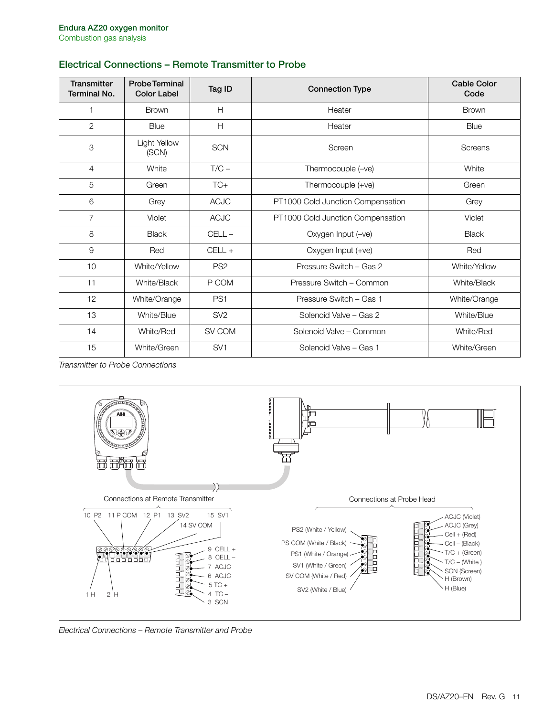# **Electrical Connections – Remote Transmitter to Probe**

| <b>Transmitter</b><br><b>Terminal No.</b> | <b>Probe Terminal</b><br><b>Color Label</b> | Tag ID          | <b>Connection Type</b>            | <b>Cable Color</b><br>Code |
|-------------------------------------------|---------------------------------------------|-----------------|-----------------------------------|----------------------------|
| 1                                         | <b>Brown</b>                                | H               | Heater                            | <b>Brown</b>               |
| $\mathbf{2}$                              | Blue                                        | H               | Heater                            | Blue                       |
| 3                                         | Light Yellow<br>(SCN)                       | <b>SCN</b>      | Screen                            | Screens                    |
| $\overline{4}$                            | White                                       | $T/C -$         | Thermocouple (-ve)                | White                      |
| 5                                         | Green                                       | $TC+$           | Thermocouple (+ve)                | Green                      |
| 6                                         | Grey                                        | <b>ACJC</b>     | PT1000 Cold Junction Compensation | Grey                       |
| $\overline{7}$                            | Violet                                      | <b>ACJC</b>     | PT1000 Cold Junction Compensation | Violet                     |
| 8                                         | <b>Black</b>                                | $CELL -$        | Oxygen Input (-ve)                | <b>Black</b>               |
| $\overline{9}$                            | Red                                         | $CELL +$        | Oxygen Input (+ve)                | Red                        |
| 10                                        | White/Yellow                                | PS <sub>2</sub> | Pressure Switch - Gas 2           | White/Yellow               |
| 11                                        | White/Black                                 | P COM           | Pressure Switch - Common          | White/Black                |
| 12                                        | White/Orange                                | PS <sub>1</sub> | Pressure Switch - Gas 1           | White/Orange               |
| 13                                        | White/Blue                                  | SV <sub>2</sub> | Solenoid Valve - Gas 2            | White/Blue                 |
| 14                                        | White/Red                                   | SV COM          | Solenoid Valve - Common           | White/Red                  |
| 15                                        | White/Green                                 | SV <sub>1</sub> | Solenoid Valve - Gas 1            | White/Green                |

*Transmitter to Probe Connections*



*Electrical Connections – Remote Transmitter and Probe*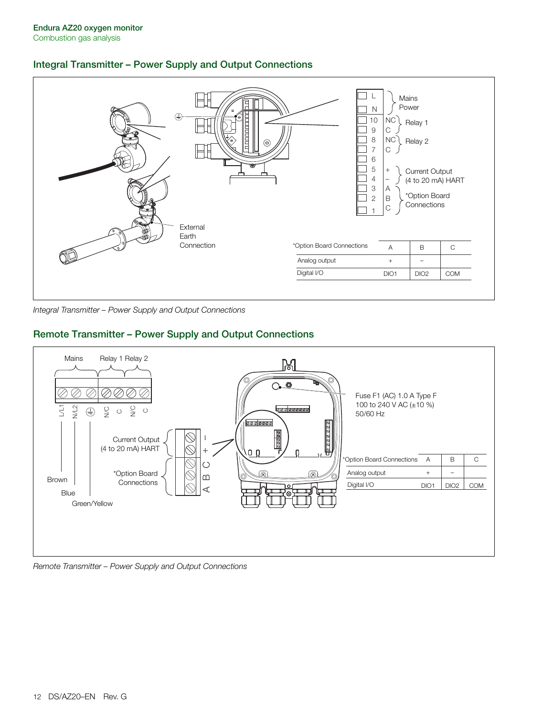# **Integral Transmitter – Power Supply and Output Connections**



*Integral Transmitter – Power Supply and Output Connections*

# **Remote Transmitter – Power Supply and Output Connections**



### *Remote Transmitter – Power Supply and Output Connections*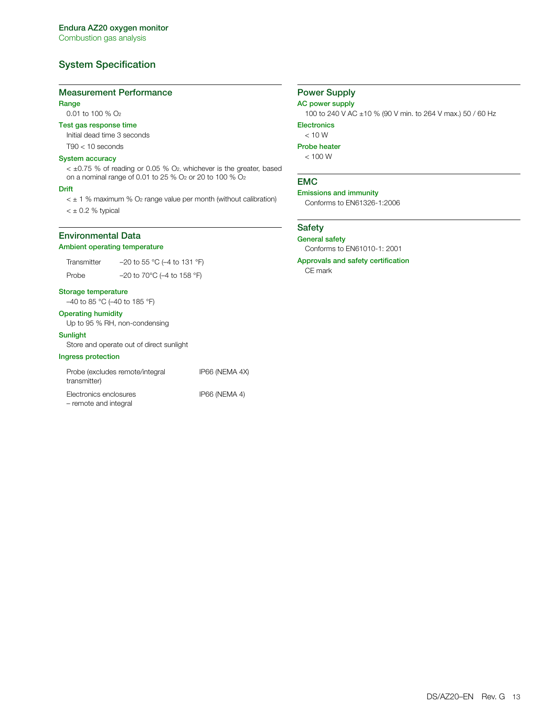# **System Specification**

#### **Measurement Performance**

### **Range**

0.01 to 100 % O2

### **Test gas response time**

Initial dead time 3 seconds

# T90 < 10 seconds

### **System accuracy**

< ±0.75 % of reading or 0.05 % O2, whichever is the greater, based on a nominal range of 0.01 to 25 % O2 or 20 to 100 % O2

#### **Drift**

 $<$   $\pm$  1 % maximum % O<sub>2</sub> range value per month (without calibration)  $<$   $\pm$  0.2 % typical

# **Environmental Data**

### **Ambient operating temperature**

Transmitter  $-20$  to 55 °C (-4 to 131 °F) Probe –20 to 70°C (–4 to 158 °F)

#### **Storage temperature**

–40 to 85 °C (–40 to 185 °F)

### **Operating humidity**

Up to 95 % RH, non-condensing

### **Sunlight**

Store and operate out of direct sunlight

### **Ingress protection**

| Probe (excludes remote/integral<br>transmitter) | IP66 (NEMA 4X) |
|-------------------------------------------------|----------------|
| Electronics enclosures<br>- remote and integral | IP66 (NEMA 4)  |

# **Power Supply**

### **AC power supply**

100 to 240 V AC ±10 % (90 V min. to 264 V max.) 50 / 60 Hz

**Electronics**

 $< 10 W$ **Probe heater**

 $< 100 W$ 

### **EMC**

**Emissions and immunity** Conforms to EN61326-1:2006

### **Safety**

**General safety** Conforms to EN61010-1: 2001

**Approvals and safety certification**

CE mark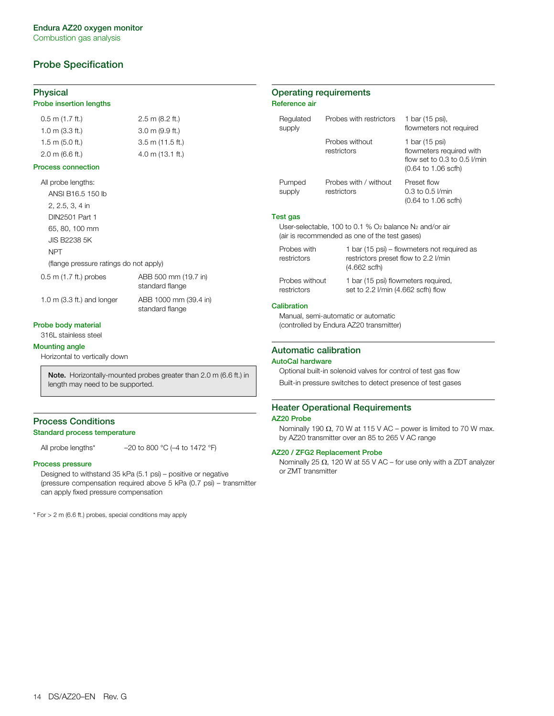# **Probe Specification**

#### **Physical**

#### **Probe insertion lengths**

| $0.5$ m $(1.7$ ft.)       | $2.5$ m (8.2 ft.)         |
|---------------------------|---------------------------|
| $1.0 \text{ m}$ (3.3 ft.) | $3.0 \text{ m}$ (9.9 ft.) |
| $1.5 \text{ m}$ (5.0 ft.) | $3.5$ m (11.5 ft.)        |
| $2.0 \text{ m}$ (6.6 ft.) | $4.0$ m $(13.1$ ft.)      |

#### **Process connection**

All probe lengths: ANSI B16.5 150 lb 2, 2.5, 3, 4 in DIN2501 Part 1 65, 80, 100 mm JIS B2238 5K NPT (flange pressure ratings do not apply)

0.5 m (1.7 ft.) probes ABB 500 mm (19.7 in)

standard flange

standard flange

1.0 m (3.3 ft.) and longer ABB 1000 mm (39.4 in)

**Probe body material**

316L stainless steel

#### **Mounting angle**

Horizontal to vertically down

**Note.** Horizontally-mounted probes greater than 2.0 m (6.6 ft.) in length may need to be supported.

# **Process Conditions**

#### **Standard process temperature**

All probe lengths\* $-20$  to 800 °C (-4 to 1472 °F)

#### **Process pressure**

Designed to withstand 35 kPa (5.1 psi) – positive or negative (pressure compensation required above 5 kPa (0.7 psi) – transmitter can apply fixed pressure compensation

\* For > 2 m (6.6 ft.) probes, special conditions may apply

### **Operating requirements Reference air**

| Regulated<br>supply                                                                                                   |                                                      | Probes with restrictors            | 1 bar (15 psi),<br>flowmeters not required                                                                             |
|-----------------------------------------------------------------------------------------------------------------------|------------------------------------------------------|------------------------------------|------------------------------------------------------------------------------------------------------------------------|
|                                                                                                                       | Probes without<br>restrictors                        |                                    | 1 bar (15 psi)<br>flowmeters required with<br>flow set to 0.3 to 0.5 $V$ min<br>$(0.64 \text{ to } 1.06 \text{ scfh})$ |
| Pumped<br>supply                                                                                                      | restrictors                                          | Probes with / without              | Preset flow<br>$0.3$ to $0.5$ <i>V</i> min<br>$(0.64 \text{ to } 1.06 \text{ scfh})$                                   |
| Test gas                                                                                                              |                                                      |                                    |                                                                                                                        |
| User-selectable, 100 to 0.1 % $O2$ balance N <sub>2</sub> and/or air<br>(air is recommended as one of the test gases) |                                                      |                                    |                                                                                                                        |
| Probes with<br>restrictors                                                                                            | restrictors preset flow to 2.2 l/min<br>(4.662 scfh) |                                    | 1 bar (15 psi) – flowmeters not required as                                                                            |
| Probes without<br>restrictors                                                                                         |                                                      | set to 2.2 I/min (4.662 scfh) flow | 1 bar (15 psi) flowmeters required,                                                                                    |

### **Calibration**

Manual, semi-automatic or automatic (controlled by Endura AZ20 transmitter)

#### **Automatic calibration**

#### **AutoCal hardware**

Optional built-in solenoid valves for control of test gas flow Built-in pressure switches to detect presence of test gases

### **Heater Operational Requirements**

#### **AZ20 Probe**

Nominally 190  $\Omega$ , 70 W at 115 V AC – power is limited to 70 W max. by AZ20 transmitter over an 85 to 265 V AC range

#### **AZ20 / ZFG2 Replacement Probe**

Nominally 25  $\Omega$ , 120 W at 55 V AC – for use only with a ZDT analyzer or ZMT transmitter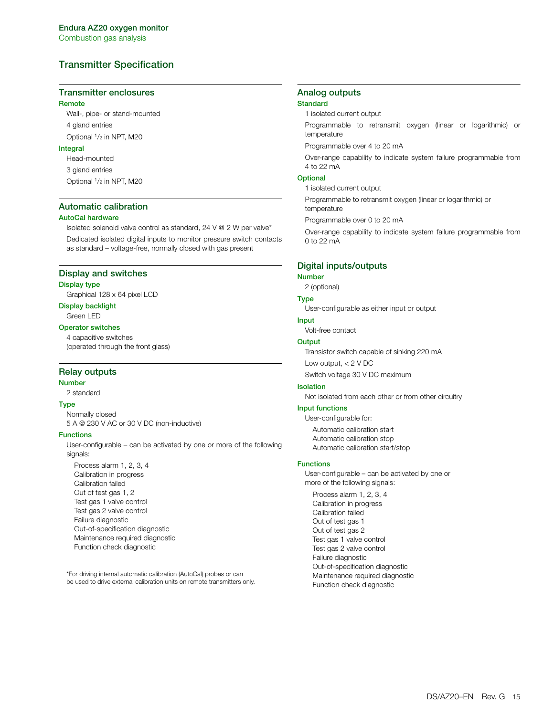# **Transmitter Specification**

#### **Transmitter enclosures**

#### **Remote**

Wall-, pipe- or stand-mounted 4 gland entries Optional 1/2 in NPT, M20

#### **Integral**

Head-mounted

3 gland entries

Optional 1/2 in NPT, M20

#### **Automatic calibration**

#### **AutoCal hardware**

Isolated solenoid valve control as standard, 24 V @ 2 W per valve\* Dedicated isolated digital inputs to monitor pressure switch contacts as standard – voltage-free, normally closed with gas present

#### **Display and switches**

#### **Display type**

Graphical 128 x 64 pixel LCD

### **Display backlight**

Green LED

### **Operator switches**

4 capacitive switches (operated through the front glass)

#### **Relay outputs**

#### **Number**

2 standard

#### **Type**

Normally closed 5 A @ 230 V AC or 30 V DC (non-inductive)

#### **Functions**

User-configurable – can be activated by one or more of the following signals:

Process alarm 1, 2, 3, 4 Calibration in progress Calibration failed Out of test gas 1, 2 Test gas 1 valve control Test gas 2 valve control Failure diagnostic Out-of-specification diagnostic Maintenance required diagnostic Function check diagnostic

\*For driving internal automatic calibration (AutoCal) probes or can be used to drive external calibration units on remote transmitters only.

# **Analog outputs**

# **Standard**

1 isolated current output

Programmable to retransmit oxygen (linear or logarithmic) or temperature

Programmable over 4 to 20 mA

Over-range capability to indicate system failure programmable from 4 to 22 mA

### **Optional**

1 isolated current output

Programmable to retransmit oxygen (linear or logarithmic) or

temperature

Programmable over 0 to 20 mA

Over-range capability to indicate system failure programmable from 0 to 22 mA

#### **Digital inputs/outputs**

#### **Number**

2 (optional)

### **Type**

User-configurable as either input or output

#### **Input**

Volt-free contact

### **Output**

Transistor switch capable of sinking 220 mA

Low output, < 2 V DC

Switch voltage 30 V DC maximum

### **Isolation**

Not isolated from each other or from other circuitry

#### **Input functions**

User-configurable for: Automatic calibration start Automatic calibration stop Automatic calibration start/stop

#### **Functions**

User-configurable – can be activated by one or more of the following signals: Process alarm 1, 2, 3, 4 Calibration in progress Calibration failed Out of test gas 1 Out of test gas 2 Test gas 1 valve control Test gas 2 valve control Failure diagnostic Out-of-specification diagnostic Maintenance required diagnostic Function check diagnostic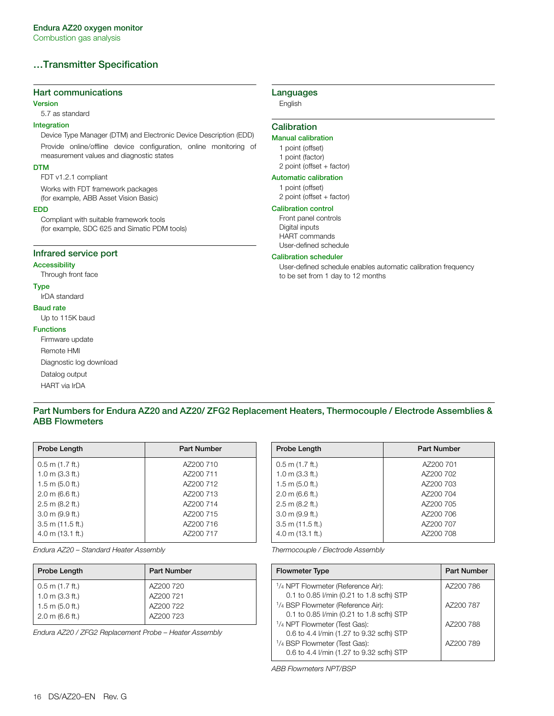# **…Transmitter Specification**

### **Hart communications**

#### **Version**

5.7 as standard

### **Integration**

Device Type Manager (DTM) and Electronic Device Description (EDD) Provide online/offline device configuration, online monitoring of measurement values and diagnostic states

#### **DTM**

FDT v1.2.1 compliant

Works with FDT framework packages (for example, ABB Asset Vision Basic)

#### **EDD**

Compliant with suitable framework tools (for example, SDC 625 and Simatic PDM tools)

### **Infrared service port**

#### **Accessibility**

Through front face

#### **Type**

#### IrDA standard

- **Baud rate**
- Up to 115K baud

#### **Functions**

Firmware update Remote HMI Diagnostic log download Datalog output HART via IrDA

### **Languages**

English

### **Calibration**

### **Manual calibration**

- 1 point (offset)
- 1 point (factor)
- 2 point (offset + factor)

### **Automatic calibration**

1 point (offset) 2 point (offset + factor)

#### **Calibration control**

Front panel controls Digital inputs HART commands User-defined schedule

#### **Calibration scheduler**

User-defined schedule enables automatic calibration frequency to be set from 1 day to 12 months

### <span id="page-15-0"></span>**Part Numbers for Endura AZ20 and AZ20/ ZFG2 Replacement Heaters, Thermocouple / Electrode Assemblies & ABB Flowmeters**

<span id="page-15-1"></span>

| Probe Length              | <b>Part Number</b> |
|---------------------------|--------------------|
| $0.5$ m $(1.7$ ft.)       | AZ200 710          |
| $1.0 \text{ m}$ (3.3 ft.) | AZ200 711          |
| $1.5$ m (5.0 ft.)         | AZ200 712          |
| $2.0 \text{ m}$ (6.6 ft.) | AZ200 713          |
| $2.5$ m (8.2 ft.)         | AZ200 714          |
| $3.0 \text{ m}$ (9.9 ft.) | AZ200 715          |
| $3.5$ m (11.5 ft.)        | AZ200 716          |
| $4.0$ m $(13.1$ ft.)      | AZ200 717          |

*Endura AZ20 – Standard Heater Assembly*

| Probe Length              | <b>Part Number</b> |
|---------------------------|--------------------|
| $0.5$ m (1.7 ft.)         | AZ200 720          |
| $1.0 \text{ m}$ (3.3 ft.) | AZ200 721          |
| $1.5$ m (5.0 ft.)         | AZ200 722          |
| $2.0 \text{ m}$ (6.6 ft.) | AZ200 723          |
|                           |                    |

*Endura AZ20 / ZFG2 Replacement Probe – Heater Assembly* 

| Probe Length              | <b>Part Number</b> |
|---------------------------|--------------------|
| $0.5$ m $(1.7$ ft.)       | AZ200 701          |
| $1.0$ m $(3.3$ ft.)       | AZ200 702          |
| $1.5$ m $(5.0$ ft.)       | AZ200 703          |
| $2.0 \text{ m}$ (6.6 ft.) | AZ200 704          |
| $2.5$ m (8.2 ft.)         | AZ200 705          |
| $3.0 \text{ m}$ (9.9 ft.) | AZ200 706          |
| $3.5$ m (11.5 ft.)        | AZ200 707          |
| $4.0$ m $(13.1$ ft.)      | AZ200 708          |
|                           |                    |

*Thermocouple / Electrode Assembly*

| <b>Flowmeter Type</b>                                      | <b>Part Number</b> |
|------------------------------------------------------------|--------------------|
| <sup>1</sup> / <sub>4</sub> NPT Flowmeter (Reference Air): | AZ200 786          |
| 0.1 to 0.85 l/min (0.21 to 1.8 scfh) STP                   |                    |
| <sup>1</sup> / <sub>4</sub> BSP Flowmeter (Reference Air): | AZ200 787          |
| 0.1 to 0.85 l/min (0.21 to 1.8 scfh) STP                   |                    |
| <sup>1</sup> /4 NPT Flowmeter (Test Gas):                  | AZ200 788          |
| 0.6 to 4.4 l/min (1.27 to 9.32 scfh) STP                   |                    |
| <sup>1</sup> /4 BSP Flowmeter (Test Gas):                  | AZ200 789          |
| 0.6 to 4.4 l/min (1.27 to 9.32 scfh) STP                   |                    |

*ABB Flowmeters NPT/BSP*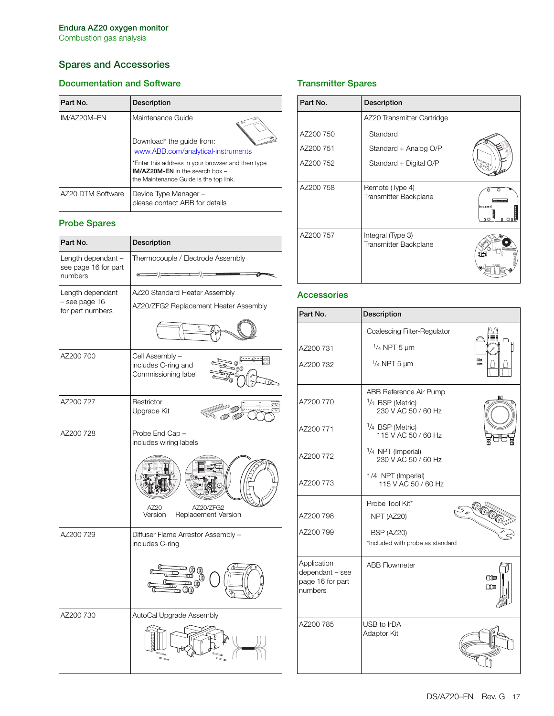# <span id="page-16-0"></span>**Spares and Accessories**

# **Documentation and Software**

| Part No.          | Description                                                                                                                        |
|-------------------|------------------------------------------------------------------------------------------------------------------------------------|
| IM/AZ20M-EN       | Maintenance Guide                                                                                                                  |
|                   | Download* the guide from:<br>www.ABB.com/analytical-instruments                                                                    |
|                   | *Enter this address in your browser and then type<br>$IM/AZ20M-EN$ in the search box $-$<br>the Maintenance Guide is the top link. |
| AZ20 DTM Software | Device Type Manager -<br>please contact ABB for details                                                                            |

# **Probe Spares**

| Part No.                                              | Description                                                                                      |
|-------------------------------------------------------|--------------------------------------------------------------------------------------------------|
| Length dependant -<br>see page 16 for part<br>numbers | Thermocouple / Electrode Assembly                                                                |
| Length dependant<br>- see page 16<br>for part numbers | AZ20 Standard Heater Assembly<br>AZ20/ZFG2 Replacement Heater Assembly                           |
|                                                       |                                                                                                  |
| AZ200 700                                             | Cell Assembly -<br>≖ ⊚ნ<br>includes C-ring and<br>ு @ெ<br>Commissioning label                    |
| AZ200 727                                             | Restrictor<br>Upgrade Kit                                                                        |
| AZ200 728                                             | Probe End Cap -<br>includes wiring labels<br>AZ20/ZFG2<br>AZ20<br>Replacement Version<br>Version |
| AZ200 729                                             | Diffuser Flame Arrestor Assembly -<br>includes C-ring                                            |
| AZ200 730                                             | AutoCal Upgrade Assembly                                                                         |

# **Transmitter Spares**

| Part No.  | Description                                       |             |
|-----------|---------------------------------------------------|-------------|
|           | AZ20 Transmitter Cartridge                        |             |
| AZ200 750 | Standard                                          |             |
| AZ200 751 | Standard + Analog O/P                             |             |
| AZ200 752 | Standard + Digital O/P                            |             |
| AZ200 758 | Remote (Type 4)<br><b>Transmitter Backplane</b>   | о<br>o "Π π |
| AZ200 757 | Integral (Type 3)<br><b>Transmitter Backplane</b> |             |

# **Accessories**

| Part No.                                                      | Description                                                         |                    |
|---------------------------------------------------------------|---------------------------------------------------------------------|--------------------|
|                                                               | Coalescing Filter-Regulator                                         |                    |
| AZ200 731                                                     | $1/4$ NPT 5 $\mu$ m                                                 |                    |
| AZ200 732                                                     | $1/4$ NPT 5 $\mu$ m                                                 | EKIM<br><b>COM</b> |
| AZ200 770                                                     | ABB Reference Air Pump<br>$1/4$ BSP (Metric)<br>230 V AC 50 / 60 Hz |                    |
| AZ200 771                                                     | 1/ <sub>4</sub> BSP (Metric)<br>115 V AC 50 / 60 Hz                 |                    |
| AZ200 772                                                     | 1/4 NPT (Imperial)<br>230 V AC 50 / 60 Hz                           |                    |
| AZ200 773                                                     | 1/4 NPT (Imperial)<br>115 V AC 50 / 60 Hz                           |                    |
|                                                               | Probe Tool Kit*                                                     |                    |
| AZ200798                                                      | NPT (AZ20)                                                          |                    |
| AZ200 799                                                     | BSP (AZ20)                                                          |                    |
|                                                               | *Included with probe as standard                                    |                    |
| Application<br>dependant - see<br>page 16 for part<br>numbers | <b>ABB Flowmeter</b>                                                | 日脚<br>日1■          |
| AZ200 785                                                     | USB to IrDA<br>Adaptor Kit                                          |                    |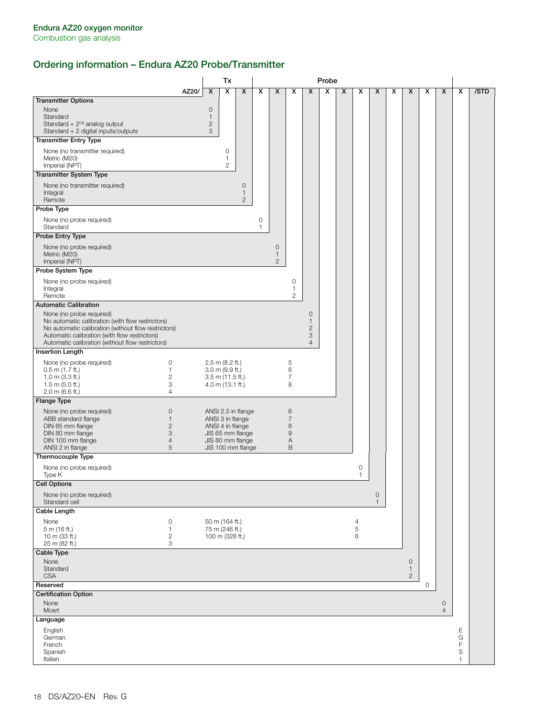# **Ordering information – Endura AZ20 Probe/Transmitter**

|                                                                                                                                                                                                                                          |       |                                        | Tx                                     |                                       |        |                                         |                           |                                                                    | Probe |   |                |                             |   |                                              |         |                                |        |      |
|------------------------------------------------------------------------------------------------------------------------------------------------------------------------------------------------------------------------------------------|-------|----------------------------------------|----------------------------------------|---------------------------------------|--------|-----------------------------------------|---------------------------|--------------------------------------------------------------------|-------|---|----------------|-----------------------------|---|----------------------------------------------|---------|--------------------------------|--------|------|
|                                                                                                                                                                                                                                          | AZ20/ | X                                      | X                                      | X                                     | X      | X                                       | X                         | $\boldsymbol{\mathsf{x}}$                                          | x     | X | х              | X                           | X | X                                            | x       | X                              | x      | /STD |
| <b>Transmitter Options</b>                                                                                                                                                                                                               |       |                                        |                                        |                                       |        |                                         |                           |                                                                    |       |   |                |                             |   |                                              |         |                                |        |      |
| None<br>Standard<br>Standard + $2nd$ analog output<br>Standard + 2 digital inputs/outputs                                                                                                                                                |       | 0<br>$\mathbf{1}$<br>$\mathbf{2}$<br>3 |                                        |                                       |        |                                         |                           |                                                                    |       |   |                |                             |   |                                              |         |                                |        |      |
| <b>Transmitter Entry Type</b>                                                                                                                                                                                                            |       |                                        |                                        |                                       |        |                                         |                           |                                                                    |       |   |                |                             |   |                                              |         |                                |        |      |
| None (no transmitter required)<br>Metric (M20)<br>Imperial (NPT)                                                                                                                                                                         |       |                                        | 0<br>$\mathbf{1}$<br>$\overline{2}$    |                                       |        |                                         |                           |                                                                    |       |   |                |                             |   |                                              |         |                                |        |      |
| <b>Transmitter System Type</b>                                                                                                                                                                                                           |       |                                        |                                        |                                       |        |                                         |                           |                                                                    |       |   |                |                             |   |                                              |         |                                |        |      |
| None (no transmitter required)<br>Integral<br>Remote                                                                                                                                                                                     |       |                                        |                                        | 0<br>1<br>$\mathbf{2}$                |        |                                         |                           |                                                                    |       |   |                |                             |   |                                              |         |                                |        |      |
| Probe Type                                                                                                                                                                                                                               |       |                                        |                                        |                                       |        |                                         |                           |                                                                    |       |   |                |                             |   |                                              |         |                                |        |      |
| None (no probe required)<br>Standard                                                                                                                                                                                                     |       |                                        |                                        |                                       | 0<br>1 |                                         |                           |                                                                    |       |   |                |                             |   |                                              |         |                                |        |      |
| Probe Entry Type                                                                                                                                                                                                                         |       |                                        |                                        |                                       |        |                                         |                           |                                                                    |       |   |                |                             |   |                                              |         |                                |        |      |
| None (no probe required)<br>Metric (M20)<br>Imperial (NPT)                                                                                                                                                                               |       |                                        |                                        |                                       |        | $\circ$<br>$\mathbf{1}$<br>$\mathbf{2}$ |                           |                                                                    |       |   |                |                             |   |                                              |         |                                |        |      |
| Probe System Type                                                                                                                                                                                                                        |       |                                        |                                        |                                       |        |                                         |                           |                                                                    |       |   |                |                             |   |                                              |         |                                |        |      |
| None (no probe required)<br>Integral<br>Remote                                                                                                                                                                                           |       |                                        |                                        |                                       |        |                                         | 0<br>1<br>$\overline{c}$  |                                                                    |       |   |                |                             |   |                                              |         |                                |        |      |
| <b>Automatic Calibration</b>                                                                                                                                                                                                             |       |                                        |                                        |                                       |        |                                         |                           |                                                                    |       |   |                |                             |   |                                              |         |                                |        |      |
| None (no probe required)<br>No automatic calibration (with flow restrictors)<br>No automatic calibration (without flow restrictors)<br>Automatic calibration (with flow restrictors)<br>Automatic calibration (without flow restrictors) |       |                                        |                                        |                                       |        |                                         |                           | $\mathbf 0$<br>$\mathbf{1}$<br>$\mathbf{2}$<br>3<br>$\overline{4}$ |       |   |                |                             |   |                                              |         |                                |        |      |
| <b>Insertion Length</b>                                                                                                                                                                                                                  |       |                                        |                                        |                                       |        |                                         |                           |                                                                    |       |   |                |                             |   |                                              |         |                                |        |      |
| None (no probe required)<br>$\mathbf 0$                                                                                                                                                                                                  |       |                                        | $2.5$ m (8.2 ft.)                      |                                       |        |                                         | 5                         |                                                                    |       |   |                |                             |   |                                              |         |                                |        |      |
| $0.5$ m $(1.7$ ft.)<br>1.                                                                                                                                                                                                                |       |                                        | $3.0$ m (9.9 ft.)                      |                                       |        |                                         | 6                         |                                                                    |       |   |                |                             |   |                                              |         |                                |        |      |
| $\mathbf{2}$<br>$1.0$ m (3.3 ft.)<br>3<br>1.5 m $(5.0$ ft.)                                                                                                                                                                              |       |                                        | $3.5$ m (11.5 ft.)<br>4.0 m (13.1 ft.) |                                       |        |                                         | $\overline{7}$<br>8       |                                                                    |       |   |                |                             |   |                                              |         |                                |        |      |
| 2.0 m (6.6 ft.)<br>$\overline{4}$                                                                                                                                                                                                        |       |                                        |                                        |                                       |        |                                         |                           |                                                                    |       |   |                |                             |   |                                              |         |                                |        |      |
| Flange Type                                                                                                                                                                                                                              |       |                                        |                                        |                                       |        |                                         |                           |                                                                    |       |   |                |                             |   |                                              |         |                                |        |      |
| None (no probe required)<br>$\circ$                                                                                                                                                                                                      |       |                                        |                                        | ANSI 2.5 in flange                    |        |                                         | 6                         |                                                                    |       |   |                |                             |   |                                              |         |                                |        |      |
| ABB standard flange<br>$\mathbf{1}$<br>$\mathbf{2}$<br>DIN 65 mm flange                                                                                                                                                                  |       |                                        |                                        | ANSI 3 in flange<br>ANSI 4 in flange  |        |                                         | $\overline{7}$<br>$\,8\,$ |                                                                    |       |   |                |                             |   |                                              |         |                                |        |      |
| 3<br>DIN 80 mm flange                                                                                                                                                                                                                    |       |                                        |                                        | JIS 65 mm flange                      |        |                                         | $\mathsf 9$               |                                                                    |       |   |                |                             |   |                                              |         |                                |        |      |
| DIN 100 mm flange<br>$\overline{4}$<br>ANSI 2 in flange<br>5                                                                                                                                                                             |       |                                        |                                        | JIS 80 mm flange<br>JIS 100 mm flange |        |                                         | A<br>$\mathsf B$          |                                                                    |       |   |                |                             |   |                                              |         |                                |        |      |
| Thermocouple Type                                                                                                                                                                                                                        |       |                                        |                                        |                                       |        |                                         |                           |                                                                    |       |   |                |                             |   |                                              |         |                                |        |      |
| None (no probe required)<br>Type K                                                                                                                                                                                                       |       |                                        |                                        |                                       |        |                                         |                           |                                                                    |       |   | 0<br>1         |                             |   |                                              |         |                                |        |      |
| <b>Cell Options</b>                                                                                                                                                                                                                      |       |                                        |                                        |                                       |        |                                         |                           |                                                                    |       |   |                |                             |   |                                              |         |                                |        |      |
| None (no probe required)<br>Standard cell                                                                                                                                                                                                |       |                                        |                                        |                                       |        |                                         |                           |                                                                    |       |   |                | $\mathbf 0$<br>$\mathbf{1}$ |   |                                              |         |                                |        |      |
| Cable Length                                                                                                                                                                                                                             |       |                                        |                                        |                                       |        |                                         |                           |                                                                    |       |   |                |                             |   |                                              |         |                                |        |      |
| $\mathbf 0$<br>None                                                                                                                                                                                                                      |       |                                        | 50 m (164 ft.)                         |                                       |        |                                         |                           |                                                                    |       |   | $\overline{4}$ |                             |   |                                              |         |                                |        |      |
| 5 m (16 ft.)<br>1<br>$\mathbf{2}$<br>10 m (33 ft.)                                                                                                                                                                                       |       |                                        | 75 m (246 ft.)<br>100 m (328 ft.)      |                                       |        |                                         |                           |                                                                    |       |   | 5<br>6         |                             |   |                                              |         |                                |        |      |
| 25 m (82 ft.)<br>3                                                                                                                                                                                                                       |       |                                        |                                        |                                       |        |                                         |                           |                                                                    |       |   |                |                             |   |                                              |         |                                |        |      |
| Cable Type                                                                                                                                                                                                                               |       |                                        |                                        |                                       |        |                                         |                           |                                                                    |       |   |                |                             |   |                                              |         |                                |        |      |
| None<br>Standard<br><b>CSA</b>                                                                                                                                                                                                           |       |                                        |                                        |                                       |        |                                         |                           |                                                                    |       |   |                |                             |   | $\mathbf{0}$<br>$\mathbf{1}$<br>$\mathbf{2}$ |         |                                |        |      |
| Reserved                                                                                                                                                                                                                                 |       |                                        |                                        |                                       |        |                                         |                           |                                                                    |       |   |                |                             |   |                                              | $\circ$ |                                |        |      |
| <b>Certification Option</b>                                                                                                                                                                                                              |       |                                        |                                        |                                       |        |                                         |                           |                                                                    |       |   |                |                             |   |                                              |         |                                |        |      |
| None<br>Mcert                                                                                                                                                                                                                            |       |                                        |                                        |                                       |        |                                         |                           |                                                                    |       |   |                |                             |   |                                              |         | $\mathbf{0}$<br>$\overline{4}$ |        |      |
| Language                                                                                                                                                                                                                                 |       |                                        |                                        |                                       |        |                                         |                           |                                                                    |       |   |                |                             |   |                                              |         |                                |        |      |
| English<br>German                                                                                                                                                                                                                        |       |                                        |                                        |                                       |        |                                         |                           |                                                                    |       |   |                |                             |   |                                              |         |                                | Ε<br>G |      |
| French                                                                                                                                                                                                                                   |       |                                        |                                        |                                       |        |                                         |                           |                                                                    |       |   |                |                             |   |                                              |         |                                | F      |      |
| Spanish<br>Italian                                                                                                                                                                                                                       |       |                                        |                                        |                                       |        |                                         |                           |                                                                    |       |   |                |                             |   |                                              |         |                                | S      |      |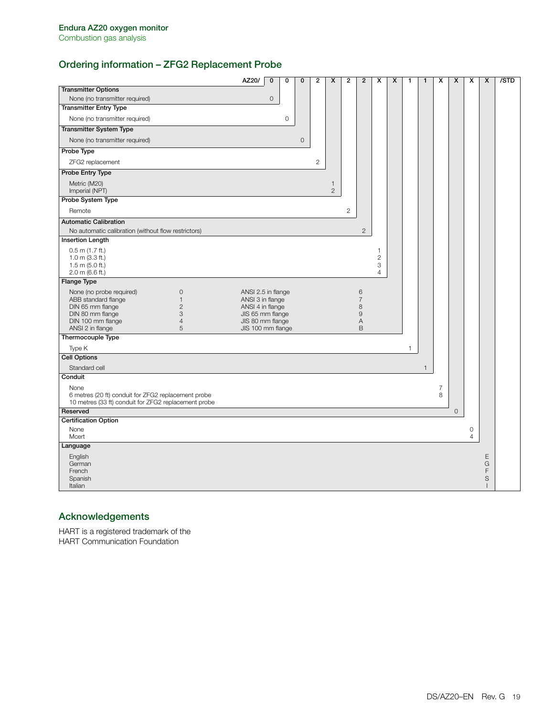# **Ordering information – ZFG2 Replacement Probe**

|                                                                                                                                                                                                                       | AZ20/                                                                                                                   | $\mathbf 0$  | $\mathbf 0$ | $\mathbf 0$ | $\overline{2}$ | X                              | $\overline{2}$ | $\overline{2}$                          | x                                        | X | 1 | 1            | X                   | X       | X                         | X                                | /STD |
|-----------------------------------------------------------------------------------------------------------------------------------------------------------------------------------------------------------------------|-------------------------------------------------------------------------------------------------------------------------|--------------|-------------|-------------|----------------|--------------------------------|----------------|-----------------------------------------|------------------------------------------|---|---|--------------|---------------------|---------|---------------------------|----------------------------------|------|
| <b>Transmitter Options</b>                                                                                                                                                                                            |                                                                                                                         |              |             |             |                |                                |                |                                         |                                          |   |   |              |                     |         |                           |                                  |      |
| None (no transmitter required)                                                                                                                                                                                        |                                                                                                                         | $\mathbf{0}$ |             |             |                |                                |                |                                         |                                          |   |   |              |                     |         |                           |                                  |      |
| <b>Transmitter Entry Type</b>                                                                                                                                                                                         |                                                                                                                         |              |             |             |                |                                |                |                                         |                                          |   |   |              |                     |         |                           |                                  |      |
| None (no transmitter required)                                                                                                                                                                                        |                                                                                                                         |              | $\circ$     |             |                |                                |                |                                         |                                          |   |   |              |                     |         |                           |                                  |      |
| <b>Transmitter System Type</b>                                                                                                                                                                                        |                                                                                                                         |              |             |             |                |                                |                |                                         |                                          |   |   |              |                     |         |                           |                                  |      |
| None (no transmitter required)                                                                                                                                                                                        |                                                                                                                         |              |             | $\mathbf 0$ |                |                                |                |                                         |                                          |   |   |              |                     |         |                           |                                  |      |
| Probe Type                                                                                                                                                                                                            |                                                                                                                         |              |             |             |                |                                |                |                                         |                                          |   |   |              |                     |         |                           |                                  |      |
| ZFG2 replacement                                                                                                                                                                                                      |                                                                                                                         |              |             |             | $\overline{2}$ |                                |                |                                         |                                          |   |   |              |                     |         |                           |                                  |      |
| Probe Entry Type                                                                                                                                                                                                      |                                                                                                                         |              |             |             |                |                                |                |                                         |                                          |   |   |              |                     |         |                           |                                  |      |
| Metric (M20)<br>Imperial (NPT)                                                                                                                                                                                        |                                                                                                                         |              |             |             |                | $\mathbf{1}$<br>$\overline{2}$ |                |                                         |                                          |   |   |              |                     |         |                           |                                  |      |
| Probe System Type                                                                                                                                                                                                     |                                                                                                                         |              |             |             |                |                                |                |                                         |                                          |   |   |              |                     |         |                           |                                  |      |
| Remote                                                                                                                                                                                                                |                                                                                                                         |              |             |             |                |                                | $\mathbf{2}$   |                                         |                                          |   |   |              |                     |         |                           |                                  |      |
| <b>Automatic Calibration</b>                                                                                                                                                                                          |                                                                                                                         |              |             |             |                |                                |                |                                         |                                          |   |   |              |                     |         |                           |                                  |      |
| No automatic calibration (without flow restrictors)                                                                                                                                                                   |                                                                                                                         |              |             |             |                |                                |                | $\mathbf{2}$                            |                                          |   |   |              |                     |         |                           |                                  |      |
| <b>Insertion Length</b>                                                                                                                                                                                               |                                                                                                                         |              |             |             |                |                                |                |                                         |                                          |   |   |              |                     |         |                           |                                  |      |
| $0.5$ m $(1.7$ ft.)<br>$1.0$ m (3.3 ft.)<br>$1.5$ m (5.0 ft.)<br>$2.0 \text{ m}$ (6.6 ft.)                                                                                                                            |                                                                                                                         |              |             |             |                |                                |                |                                         | 1<br>$\mathbf{2}$<br>3<br>$\overline{4}$ |   |   |              |                     |         |                           |                                  |      |
| <b>Flange Type</b>                                                                                                                                                                                                    |                                                                                                                         |              |             |             |                |                                |                |                                         |                                          |   |   |              |                     |         |                           |                                  |      |
| None (no probe required)<br>$\mathsf{O}\xspace$<br>ABB standard flange<br>$\mathbf{1}$<br>DIN 65 mm flange<br>$\overline{c}$<br>3<br>DIN 80 mm flange<br>DIN 100 mm flange<br>$\overline{4}$<br>5<br>ANSI 2 in flange | ANSI 2.5 in flange<br>ANSI 3 in flange<br>ANSI 4 in flange<br>JIS 65 mm flange<br>JIS 80 mm flange<br>JIS 100 mm flange |              |             |             |                |                                |                | 6<br>$\overline{7}$<br>8<br>9<br>A<br>B |                                          |   |   |              |                     |         |                           |                                  |      |
| Thermocouple Type                                                                                                                                                                                                     |                                                                                                                         |              |             |             |                |                                |                |                                         |                                          |   |   |              |                     |         |                           |                                  |      |
| Type K                                                                                                                                                                                                                |                                                                                                                         |              |             |             |                |                                |                |                                         |                                          |   | 1 |              |                     |         |                           |                                  |      |
| <b>Cell Options</b>                                                                                                                                                                                                   |                                                                                                                         |              |             |             |                |                                |                |                                         |                                          |   |   |              |                     |         |                           |                                  |      |
| Standard cell                                                                                                                                                                                                         |                                                                                                                         |              |             |             |                |                                |                |                                         |                                          |   |   | $\mathbf{1}$ |                     |         |                           |                                  |      |
| Conduit<br>None<br>6 metres (20 ft) conduit for ZFG2 replacement probe<br>10 metres (33 ft) conduit for ZFG2 replacement probe                                                                                        |                                                                                                                         |              |             |             |                |                                |                |                                         |                                          |   |   |              | $\overline{7}$<br>8 |         |                           |                                  |      |
| Reserved                                                                                                                                                                                                              |                                                                                                                         |              |             |             |                |                                |                |                                         |                                          |   |   |              |                     | $\circ$ |                           |                                  |      |
| <b>Certification Option</b><br>None<br>Mcert                                                                                                                                                                          |                                                                                                                         |              |             |             |                |                                |                |                                         |                                          |   |   |              |                     |         | $\circ$<br>$\overline{4}$ |                                  |      |
| Language                                                                                                                                                                                                              |                                                                                                                         |              |             |             |                |                                |                |                                         |                                          |   |   |              |                     |         |                           |                                  |      |
| English<br>German<br>French<br>Spanish<br>Italian                                                                                                                                                                     |                                                                                                                         |              |             |             |                |                                |                |                                         |                                          |   |   |              |                     |         |                           | E<br>G<br>F<br>S<br>$\mathbf{I}$ |      |

# **Acknowledgements**

HART is a registered trademark of the HART Communication Foundation